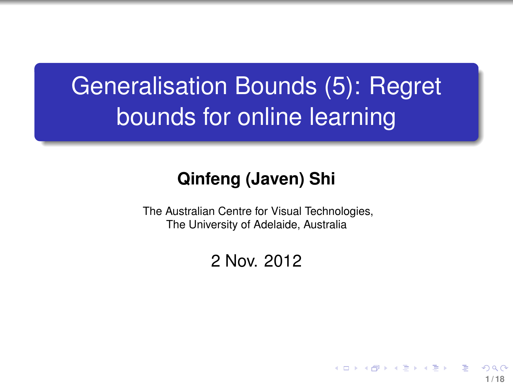# Generalisation Bounds (5): Regret bounds for online learning

#### **Qinfeng (Javen) Shi**

The Australian Centre for Visual Technologies, The University of Adelaide, Australia

#### 2 Nov. 2012

<span id="page-0-0"></span>**1 / 18**

イロト イ押 トイヨ トイヨト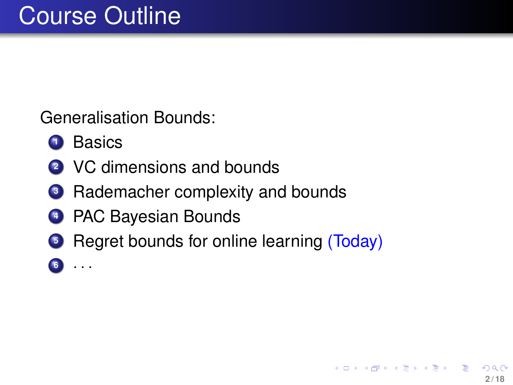Generalisation Bounds:

- Basics
- VC dimensions and bounds
- Rademacher complexity and bounds
- PAC Bayesian Bounds
- Regret bounds for online learning (Today)
- · · ·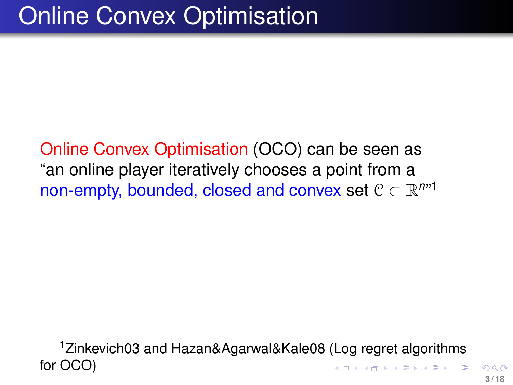Online Convex Optimisation (OCO) can be seen as "an online player iteratively chooses a point from a non-empty, bounded, closed and convex set  $C \subset \mathbb{R}^{n \times 1}$ 

<sup>1</sup>Zinkevich03 and Hazan&Agarwal&Kale08 (Log regret algorithms for OCO)  $($   $\Box$   $\rightarrow$   $($  $\Box$   $\rightarrow$   $($   $\Box$   $\rightarrow$   $\Box$   $\rightarrow$   $\Box$   $\rightarrow$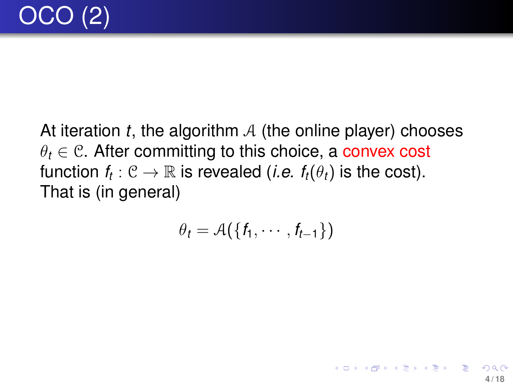At iteration *t*, the algorithm A (the online player) chooses  $\theta_t \in \mathcal{C}$ . After committing to this choice, a convex cost function  $f_t: \mathcal{C} \to \mathbb{R}$  is revealed (*i.e.*  $f_t(\theta_t)$  is the cost). That is (in general)

$$
\theta_t = \mathcal{A}(\{f_1, \cdots, f_{t-1}\})
$$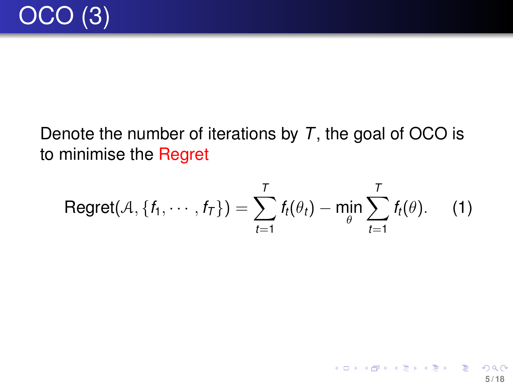### Denote the number of iterations by *T*, the goal of OCO is to minimise the Regret

<span id="page-4-1"></span><span id="page-4-0"></span>
$$
\text{Regret}(\mathcal{A}, \{f_1, \cdots, f_T\}) = \sum_{t=1}^T f_t(\theta_t) - \min_{\theta} \sum_{t=1}^T f_t(\theta). \quad (1)
$$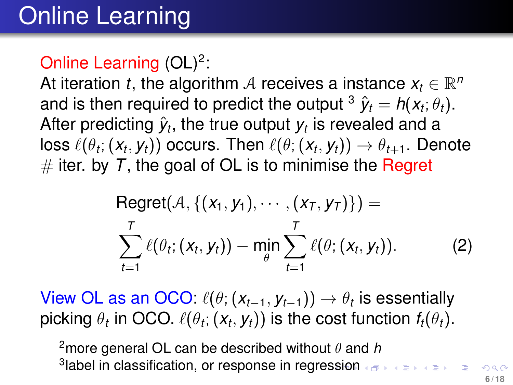# Online Learning

### Online Learning  $(OL)^2$ :

At iteration *t*, the algorithm A receives a instance  $x_t \in \mathbb{R}^n$ and is then required to predict the output  $^3$   $\hat{\textbf{y}}_t = \textbf{\textit{h}}(\textbf{\textit{x}}_t;\theta_t).$ After predicting  $\hat{y}_t$ , the true output  $y_t$  is revealed and a  $\log \ell(\theta_t; (x_t, y_t))$  occurs. Then  $\ell(\theta; (x_t, y_t)) \rightarrow \theta_{t+1}$ . Denote  $#$  iter. by  $T$ , the goal of OL is to minimise the Regret

<span id="page-5-0"></span>Regret
$$
(A, \{(x_1, y_1), \cdots, (x_T, y_T)\})
$$
 =  
\n
$$
\sum_{t=1}^T \ell(\theta_t; (x_t, y_t)) - \min_{\theta} \sum_{t=1}^T \ell(\theta; (x_t, y_t)).
$$
\n(2)

View OL as an OCO:  $\ell(\theta; (x_{t-1}, y_{t-1})) \rightarrow \theta_t$  is essentially picking  $\theta_t$  in OCO.  $\ell(\theta_t; (\textit{\textbf{x}}_t, \textit{\textbf{y}}_t))$  is the cost function  $f_t(\theta_t).$ 

<sup>2</sup>more general OL can be described without  $\theta$  and  $\hbar$ 3 label in classification, or response in regre[ssi](#page-4-0)[on](#page-6-0)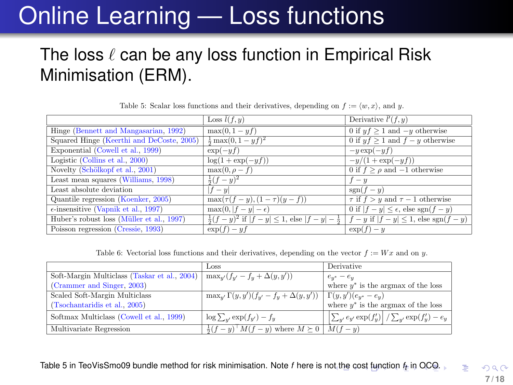# Online Learning — Loss functions

### The loss  $\ell$  can be any loss function in Empirical Risk Minimisation (ERM).

|                                               | Loss $l(f, y)$                                                      | Derivative $l'(f, y)$                             |
|-----------------------------------------------|---------------------------------------------------------------------|---------------------------------------------------|
| Hinge (Bennett and Mangasarian, 1992)         | $max(0, 1 - yf)$                                                    | 0 if $yf > 1$ and $-y$ otherwise                  |
| Squared Hinge (Keerthi and DeCoste, 2005)     | $\frac{1}{2} \max(0, 1 - yf)^2$                                     | 0 if $y f > 1$ and $f - y$ otherwise              |
| Exponential (Cowell et al., 1999)             | $\exp(-y f)$                                                        | $-y \exp(-yf)$                                    |
| Logistic (Collins et al., 2000)               | $\log(1+\exp(-yf))$                                                 | $-y/(1+\exp(-yf))$                                |
| Novelty (Schölkopf et al., 2001)              | $\max(0, \rho - f)$                                                 | 0 if $f > \rho$ and $-1$ otherwise                |
| Least mean squares (Williams, 1998)           | $\frac{1}{2}(f-y)^2$                                                | $f - y$                                           |
| Least absolute deviation                      | $f - y$                                                             | $sgn(f-y)$                                        |
| Quantile regression (Koenker, 2005)           | $\max(\tau(f-y), (1-\tau)(y-f))$                                    | $\tau$ if $f > y$ and $\tau - 1$ otherwise        |
| $\epsilon$ -insensitive (Vapnik et al., 1997) | $\max(0,  f - y  - \epsilon)$                                       | 0 if $ f - y  \leq \epsilon$ , else sgn $(f - y)$ |
| Huber's robust loss (Müller et al., 1997)     | $\frac{1}{2}(f-y)^2$ if $ f-y  \leq 1$ , else $ f-y  = \frac{1}{2}$ | $f - y$ if $ f - y  \leq 1$ , else sgn $(f - y)$  |
| Poisson regression (Cressie, 1993)            | $\exp(f) - yf$                                                      | $\exp(f) - y$                                     |

Table 5: Scalar loss functions and their derivatives, depending on  $f := \langle w, x \rangle$ , and y.

<span id="page-6-0"></span>Table 6: Vectorial loss functions and their derivatives, depending on the vector  $f := Wx$  and on y.

|                                                                                          | Loss                                                                                   | Derivative                                                              |
|------------------------------------------------------------------------------------------|----------------------------------------------------------------------------------------|-------------------------------------------------------------------------|
| Soft-Margin Multiclass (Taskar et al., 2004)   $\max_{u'}(f_{u'} - f_u + \Delta(y, y'))$ |                                                                                        | $e_{y^*}-e_y$                                                           |
| (Crammer and Singer, 2003)                                                               |                                                                                        | where $y^*$ is the argmax of the loss                                   |
| Scaled Soft-Margin Multiclass                                                            | $\max_{y'} \Gamma(y, y') (f_{y'} - f_y + \Delta(y, y')) \Gamma(y, y') (e_{y^*} - e_y)$ |                                                                         |
| (Tsochantaridis et al., 2005)                                                            |                                                                                        | where $y^*$ is the argmax of the loss                                   |
| Softmax Multiclass (Cowell et al., 1999)                                                 | $\log \sum_{y'} \exp(f_{y'}) - f_y$                                                    | $\left \sum_{y'} e_{y'} \exp(f'_y)\right  / \sum_{y'} \exp(f'_y) - e_y$ |
| Multivariate Regression                                                                  | $\frac{1}{2}(f-y)^{\dagger}M(f-y)$ where $M \succeq 0$   $M(f-y)$                      |                                                                         |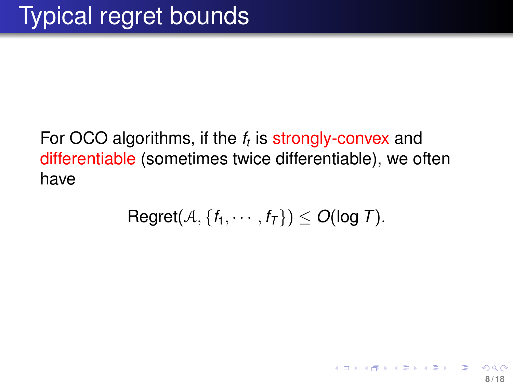### For OCO algorithms, if the *f<sup>t</sup>* is strongly-convex and differentiable (sometimes twice differentiable), we often have

<span id="page-7-0"></span>
$$
Regret(\mathcal{A}, \{f_1, \cdots, f_T\}) \leq O(\log T).
$$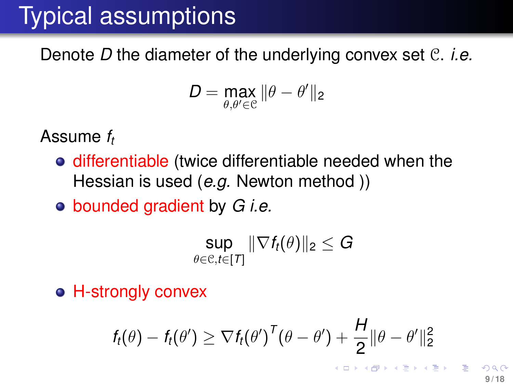# Typical assumptions

Denote *D* the diameter of the underlying convex set C. *i.e.*

$$
D = \max_{\theta, \theta' \in \mathcal{C}} \|\theta - \theta'\|_2
$$

Assume *f<sup>t</sup>*

- differentiable (twice differentiable needed when the Hessian is used (*e.g.* Newton method ))
- bounded gradient by *G i.e.*

$$
\sup_{\theta \in \mathcal{C}, t \in [T]} \|\nabla f_t(\theta)\|_2 \leq G
$$

**• H-strongly convex** 

$$
f_t(\theta) - f_t(\theta') \geq \nabla f_t(\theta')^{\mathsf{T}}(\theta - \theta') + \frac{H}{2} ||\theta - \theta'||_2^2
$$

 $($   $\Box$   $\rightarrow$   $($  $\Box$   $\rightarrow$   $($   $\Box$   $\rightarrow$   $($   $\Box$   $\rightarrow$   $\Box$   $\Box$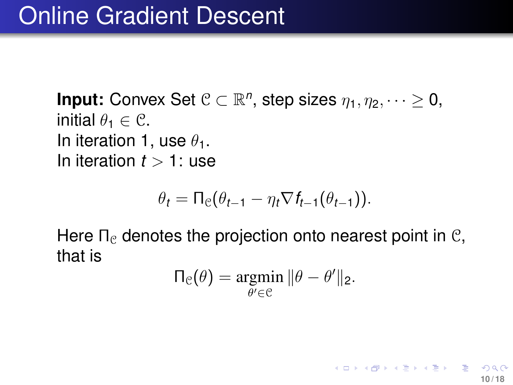**Input:** Convex Set  $C \subset \mathbb{R}^n$ , step sizes  $\eta_1, \eta_2, \dots \ge 0$ , initial  $\theta_1 \in \mathcal{C}$ . In iteration 1, use  $\theta_1$ . In iteration  $t > 1$ : use

$$
\theta_t = \Pi_{\mathfrak{C}}(\theta_{t-1} - \eta_t \nabla f_{t-1}(\theta_{t-1})).
$$

Here  $\Pi_{\mathcal{C}}$  denotes the projection onto nearest point in  $\mathcal{C}$ , that is

$$
\Pi_{\mathcal{C}}(\theta) = \underset{\theta' \in \mathcal{C}}{\operatorname{argmin}} \|\theta - \theta'\|_2.
$$

**10 / 18**

K ロ ▶ K 優 ▶ K 결 ▶ K 결 ▶ │ 결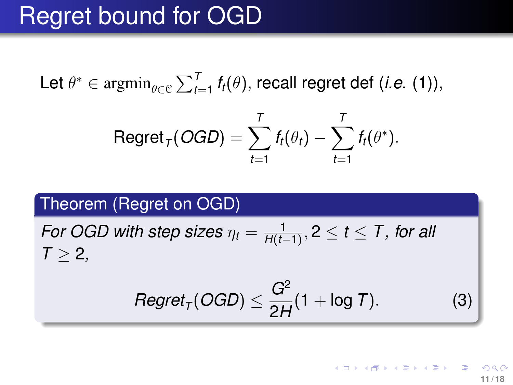### Regret bound for OGD

Let  $\theta^* \in \operatorname{argmin}_{\theta \in \mathcal{C}} \sum_{t=1}^T f_t(\theta)$ , recall regret def (*i.e.* [\(1\)](#page-4-1)),

$$
\mathsf{Regret}_{\mathcal{T}}(\mathit{OGD}) = \sum_{t=1}^T f_t(\theta_t) - \sum_{t=1}^T f_t(\theta^*).
$$

#### Theorem (Regret on OGD)

*For OGD with step sizes*  $\eta_t = \frac{1}{H(t-t)}$ *H*(*t*−1) , 2 ≤ *t* ≤ *T , for all*  $T > 2$ ,

$$
Regret_{T}(OGD) \leq \frac{G^2}{2H}(1 + \log T). \tag{3}
$$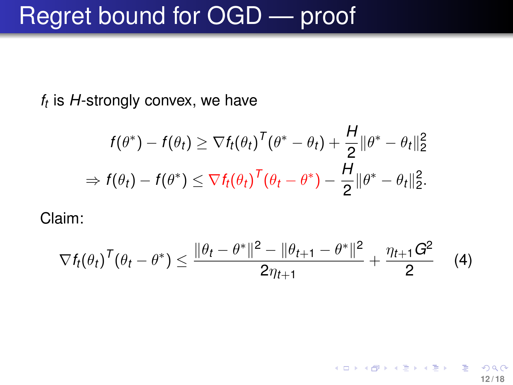*ft* is *H*-strongly convex, we have

$$
f(\theta^*) - f(\theta_t) \geq \nabla f_t(\theta_t)^T(\theta^* - \theta_t) + \frac{H}{2} \|\theta^* - \theta_t\|_2^2
$$
  
\n
$$
\Rightarrow f(\theta_t) - f(\theta^*) \leq \nabla f_t(\theta_t)^T(\theta_t - \theta^*) - \frac{H}{2} \|\theta^* - \theta_t\|_2^2.
$$

Claim:

$$
\nabla f_t(\theta_t)^T (\theta_t - \theta^*) \leq \frac{\|\theta_t - \theta^*\|^2 - \|\theta_{t+1} - \theta^*\|^2}{2\eta_{t+1}} + \frac{\eta_{t+1}G^2}{2} \qquad (4)
$$

**12 / 18**

K ロ ▶ K 優 ▶ K 결 ▶ K 결 ▶ │ 결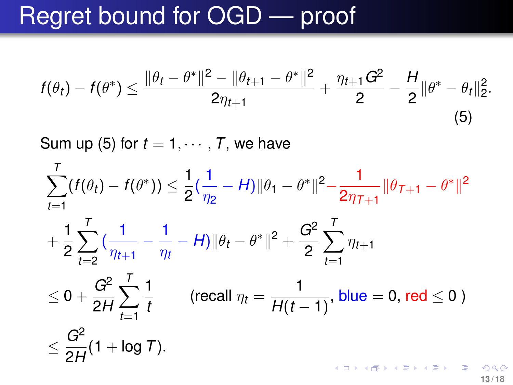$$
f(\theta_t) - f(\theta^*) \leq \frac{\|\theta_t - \theta^*\|^2 - \|\theta_{t+1} - \theta^*\|^2}{2\eta_{t+1}} + \frac{\eta_{t+1}G^2}{2} - \frac{H}{2}\|\theta^* - \theta_t\|_2^2.
$$
\n(5)

Sum up [\(5\)](#page-12-0) for  $t = 1, \dots, T$ , we have

$$
\sum_{t=1}^{T} (f(\theta_t) - f(\theta^*)) \leq \frac{1}{2} (\frac{1}{\eta_2} - H) \|\theta_1 - \theta^*\|^2 - \frac{1}{2\eta_{T+1}} \|\theta_{T+1} - \theta^*\|^2
$$
  
+  $\frac{1}{2} \sum_{t=2}^{T} (\frac{1}{\eta_{t+1}} - \frac{1}{\eta_t} - H) \|\theta_t - \theta^*\|^2 + \frac{G^2}{2} \sum_{t=1}^{T} \eta_{t+1}$   
 $\leq 0 + \frac{G^2}{2H} \sum_{t=1}^{T} \frac{1}{t}$  (recall  $\eta_t = \frac{1}{H(t-1)}$ , blue = 0, red  $\leq 0$ )  
 $\leq \frac{G^2}{2H} (1 + \log T).$ 

<span id="page-12-0"></span>**13 / 18**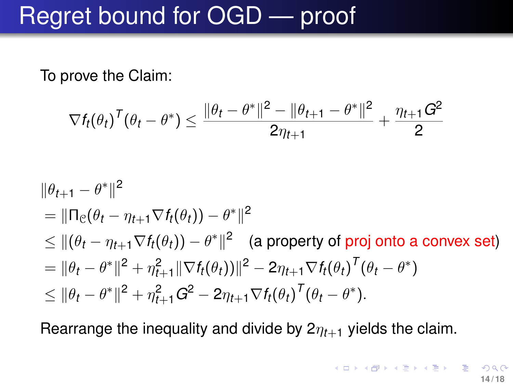To prove the Claim:

$$
\nabla f_t(\theta_t)^\mathsf{T}(\theta_t - \theta^*) \leq \frac{\|\theta_t - \theta^*\|^2 - \|\theta_{t+1} - \theta^*\|^2}{2\eta_{t+1}} + \frac{\eta_{t+1}G^2}{2}
$$

$$
\|\theta_{t+1} - \theta^*\|^2
$$
  
=  $\|\Pi_e(\theta_t - \eta_{t+1} \nabla f_t(\theta_t)) - \theta^*\|^2$   
 $\leq \|(\theta_t - \eta_{t+1} \nabla f_t(\theta_t)) - \theta^*\|^2$  (a property of proj onto a convex set)  
=  $\|\theta_t - \theta^*\|^2 + \eta_{t+1}^2 \|\nabla f_t(\theta_t)\|^2 - 2\eta_{t+1} \nabla f_t(\theta_t)^T (\theta_t - \theta^*)$   
 $\leq \|\theta_t - \theta^*\|^2 + \eta_{t+1}^2 G^2 - 2\eta_{t+1} \nabla f_t(\theta_t)^T (\theta_t - \theta^*).$ 

Rearrange the inequality and divide by  $2\eta_{t+1}$  yields the claim.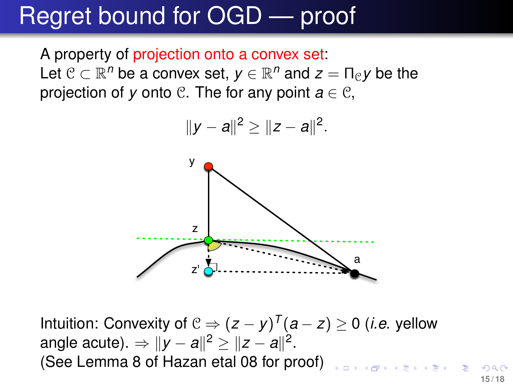A property of projection onto a convex set: Let  $C \subset \mathbb{R}^n$  be a convex set,  $y \in \mathbb{R}^n$  and  $z = \prod_{C} y$  be the projection of *y* onto  $\mathcal{C}$ . The for any point  $a \in \mathcal{C}$ ,



Intuition: Convexity of  $C \Rightarrow (z - y)^T (a - z) \ge 0$  (*i.e.* yellow angle acute).  $\Rightarrow$   $||y - a||^2$  ≥  $||z - a||^2$ . (See Lemma 8 of Hazan etal 08 for proof)

**15 / 18**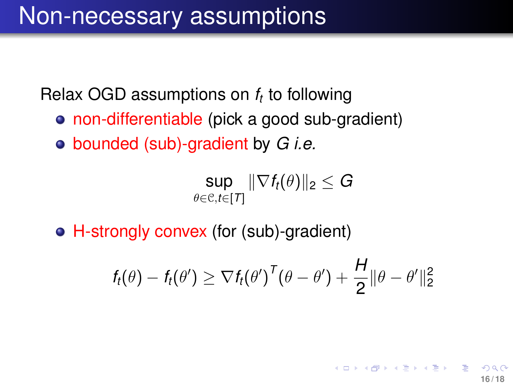Relax OGD assumptions on *f<sup>t</sup>* to following

- non-differentiable (pick a good sub-gradient)
- bounded (sub)-gradient by *G i.e.*

$$
\sup_{\theta \in \mathcal{C}, t \in [T]} \|\nabla f_t(\theta)\|_2 \leq G
$$

H-strongly convex (for (sub)-gradient)

$$
f_t(\theta) - f_t(\theta') \geq \nabla f_t(\theta')^{\mathsf{T}}(\theta - \theta') + \frac{H}{2} ||\theta - \theta'||_2^2
$$

イロト イ押 トイヨ トイヨト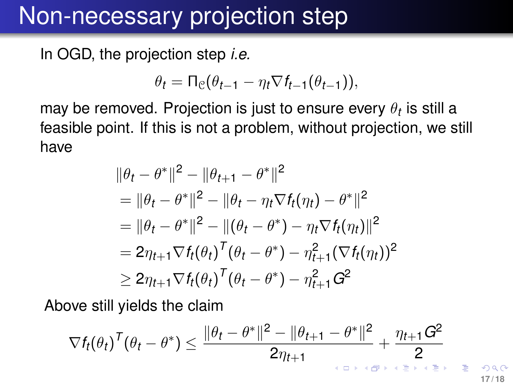### Non-necessary projection step

In OGD, the projection step *i.e.*

$$
\theta_t = \Pi_{\mathcal{C}}(\theta_{t-1} - \eta_t \nabla f_{t-1}(\theta_{t-1})),
$$

may be removed. Projection is just to ensure every  $\theta_t$  is still a feasible point. If this is not a problem, without projection, we still have

$$
\|\theta_t - \theta^*\|^2 - \|\theta_{t+1} - \theta^*\|^2
$$
  
=  $\|\theta_t - \theta^*\|^2 - \|\theta_t - \eta_t \nabla f_t(\eta_t) - \theta^*\|^2$   
=  $\|\theta_t - \theta^*\|^2 - \|(\theta_t - \theta^*) - \eta_t \nabla f_t(\eta_t)\|^2$   
=  $2\eta_{t+1} \nabla f_t(\theta_t)^T (\theta_t - \theta^*) - \eta_{t+1}^2 (\nabla f_t(\eta_t))^2$   
 $\geq 2\eta_{t+1} \nabla f_t(\theta_t)^T (\theta_t - \theta^*) - \eta_{t+1}^2 G^2$ 

Above still yields the claim

$$
\nabla f_t(\theta_t)^\mathsf{T}(\theta_t - \theta^*) \leq \frac{\|\theta_t - \theta^*\|^2 - \|\theta_{t+1} - \theta^*\|^2}{2\eta_{t+1}} + \frac{\eta_{t+1}G^2}{2}
$$